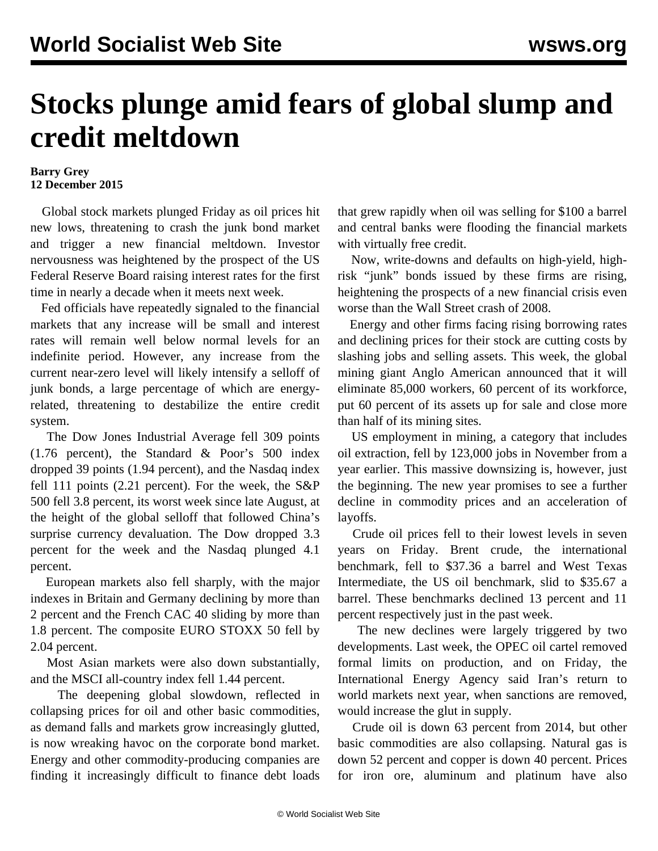## **Stocks plunge amid fears of global slump and credit meltdown**

## **Barry Grey 12 December 2015**

 Global stock markets plunged Friday as oil prices hit new lows, threatening to crash the junk bond market and trigger a new financial meltdown. Investor nervousness was heightened by the prospect of the US Federal Reserve Board raising interest rates for the first time in nearly a decade when it meets next week.

 Fed officials have repeatedly signaled to the financial markets that any increase will be small and interest rates will remain well below normal levels for an indefinite period. However, any increase from the current near-zero level will likely intensify a selloff of junk bonds, a large percentage of which are energyrelated, threatening to destabilize the entire credit system.

 The Dow Jones Industrial Average fell 309 points (1.76 percent), the Standard & Poor's 500 index dropped 39 points (1.94 percent), and the Nasdaq index fell 111 points (2.21 percent). For the week, the S&P 500 fell 3.8 percent, its worst week since late August, at the height of the global selloff that followed China's surprise currency devaluation. The Dow dropped 3.3 percent for the week and the Nasdaq plunged 4.1 percent.

 European markets also fell sharply, with the major indexes in Britain and Germany declining by more than 2 percent and the French CAC 40 sliding by more than 1.8 percent. The composite EURO STOXX 50 fell by 2.04 percent.

 Most Asian markets were also down substantially, and the MSCI all-country index fell 1.44 percent.

 The deepening global slowdown, reflected in collapsing prices for oil and other basic commodities, as demand falls and markets grow increasingly glutted, is now wreaking havoc on the corporate bond market. Energy and other commodity-producing companies are finding it increasingly difficult to finance debt loads that grew rapidly when oil was selling for \$100 a barrel and central banks were flooding the financial markets with virtually free credit.

 Now, write-downs and defaults on high-yield, highrisk "junk" bonds issued by these firms are rising, heightening the prospects of a new financial crisis even worse than the Wall Street crash of 2008.

 Energy and other firms facing rising borrowing rates and declining prices for their stock are cutting costs by slashing jobs and selling assets. This week, the global mining giant Anglo American announced that it will eliminate 85,000 workers, 60 percent of its workforce, put 60 percent of its assets up for sale and close more than half of its mining sites.

 US employment in mining, a category that includes oil extraction, fell by 123,000 jobs in November from a year earlier. This massive downsizing is, however, just the beginning. The new year promises to see a further decline in commodity prices and an acceleration of layoffs.

 Crude oil prices fell to their lowest levels in seven years on Friday. Brent crude, the international benchmark, fell to \$37.36 a barrel and West Texas Intermediate, the US oil benchmark, slid to \$35.67 a barrel. These benchmarks declined 13 percent and 11 percent respectively just in the past week.

 The new declines were largely triggered by two developments. Last week, the OPEC oil cartel removed formal limits on production, and on Friday, the International Energy Agency said Iran's return to world markets next year, when sanctions are removed, would increase the glut in supply.

 Crude oil is down 63 percent from 2014, but other basic commodities are also collapsing. Natural gas is down 52 percent and copper is down 40 percent. Prices for iron ore, aluminum and platinum have also